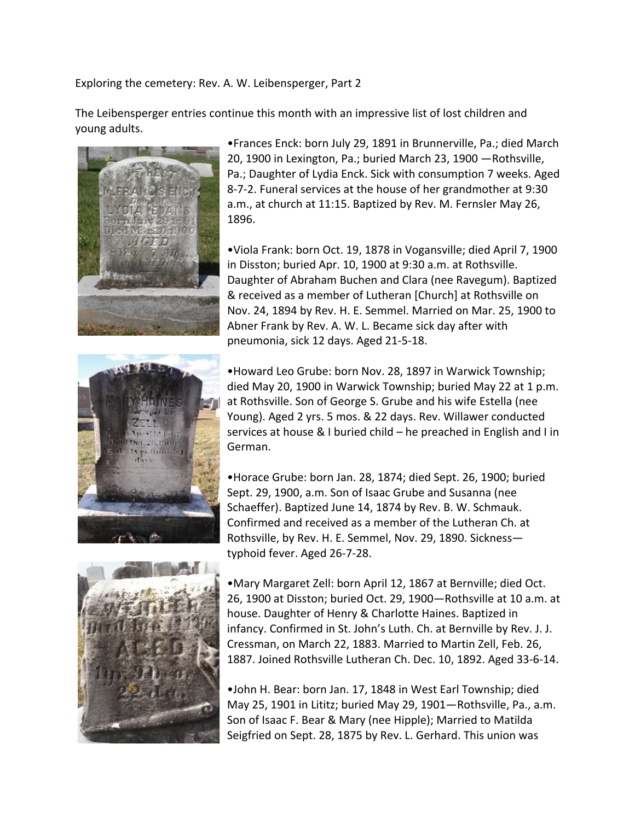Exploring the cemetery: Rev. A. W. Leibensperger, Part 2

The Leibensperger entries continue this month with an impressive list of lost children and young adults.





•Frances Enck: born July 29, 1891 in Brunnerville, Pa.; died March 20, 1900 in Lexington, Pa.; buried March 23, 1900 —Rothsville, Pa.; Daughter of Lydia Enck. Sick with consumption 7 weeks. Aged 8-7-2. Funeral services at the house of her grandmother at 9:30 a.m., at church at 11:15. Baptized by Rev. M. Fernsler May 26, 1896.

•Viola Frank: born Oct. 19, 1878 in Vogansville; died April 7, 1900 in Disston; buried Apr. 10, 1900 at 9:30 a.m. at Rothsville. Daughter of Abraham Buchen and Clara (nee Ravegum). Baptized & received as a member of Lutheran [Church] at Rothsville on Nov. 24, 1894 by Rev. H. E. Semmel. Married on Mar. 25, 1900 to Abner Frank by Rev. A. W. L. Became sick day after with pneumonia, sick 12 days. Aged 21-5-18.

•Howard Leo Grube: born Nov. 28, 1897 in Warwick Township; died May 20, 1900 in Warwick Township; buried May 22 at 1 p.m. at Rothsville. Son of George S. Grube and his wife Estella (nee Young). Aged 2 yrs. 5 mos. & 22 days. Rev. Willawer conducted services at house & I buried child – he preached in English and I in German.

•Horace Grube: born Jan. 28, 1874; died Sept. 26, 1900; buried Sept. 29, 1900, a.m. Son of Isaac Grube and Susanna (nee Schaeffer). Baptized June 14, 1874 by Rev. B. W. Schmauk. Confirmed and received as a member of the Lutheran Ch. at Rothsville, by Rev. H. E. Semmel, Nov. 29, 1890. Sickness typhoid fever. Aged 26-7-28.



•Mary Margaret Zell: born April 12, 1867 at Bernville; died Oct. 26, 1900 at Disston; buried Oct. 29, 1900—Rothsville at 10 a.m. at house. Daughter of Henry & Charlotte Haines. Baptized in infancy. Confirmed in St. John's Luth. Ch. at Bernville by Rev. J. J. Cressman, on March 22, 1883. Married to Martin Zell, Feb. 26, 1887. Joined Rothsville Lutheran Ch. Dec. 10, 1892. Aged 33-6-14.

•John H. Bear: born Jan. 17, 1848 in West Earl Township; died May 25, 1901 in Lititz; buried May 29, 1901—Rothsville, Pa., a.m. Son of Isaac F. Bear & Mary (nee Hipple); Married to Matilda Seigfried on Sept. 28, 1875 by Rev. L. Gerhard. This union was